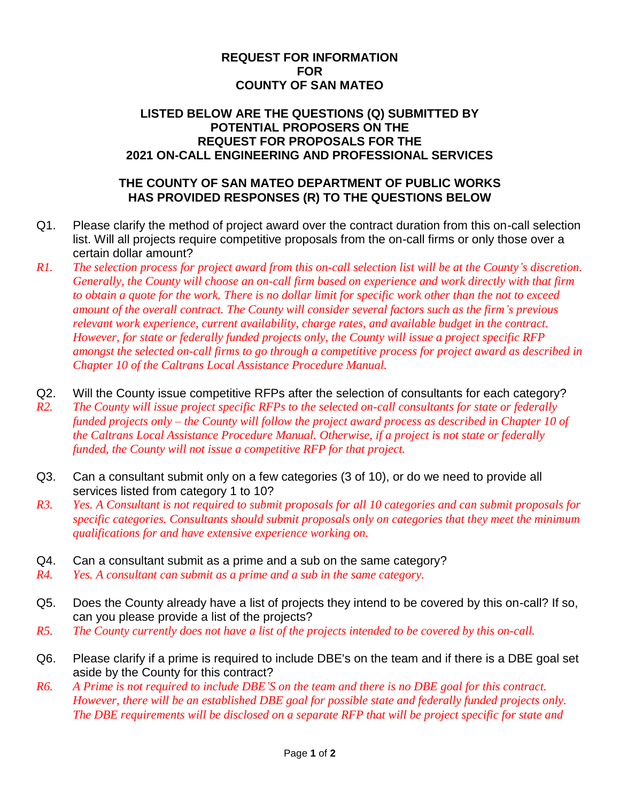## **REQUEST FOR INFORMATION FOR COUNTY OF SAN MATEO**

## **LISTED BELOW ARE THE QUESTIONS (Q) SUBMITTED BY POTENTIAL PROPOSERS ON THE REQUEST FOR PROPOSALS FOR THE 2021 ON-CALL ENGINEERING AND PROFESSIONAL SERVICES**

## **THE COUNTY OF SAN MATEO DEPARTMENT OF PUBLIC WORKS HAS PROVIDED RESPONSES (R) TO THE QUESTIONS BELOW**

- Q1. Please clarify the method of project award over the contract duration from this on-call selection list. Will all projects require competitive proposals from the on-call firms or only those over a certain dollar amount?
- *R1. The selection process for project award from this on-call selection list will be at the County's discretion. Generally, the County will choose an on-call firm based on experience and work directly with that firm to obtain a quote for the work. There is no dollar limit for specific work other than the not to exceed amount of the overall contract. The County will consider several factors such as the firm's previous relevant work experience, current availability, charge rates, and available budget in the contract. However, for state or federally funded projects only, the County will issue a project specific RFP amongst the selected on-call firms to go through a competitive process for project award as described in Chapter 10 of the Caltrans Local Assistance Procedure Manual.*
- Q2. Will the County issue competitive RFPs after the selection of consultants for each category?
- *R2. The County will issue project specific RFPs to the selected on-call consultants for state or federally funded projects only – the County will follow the project award process as described in Chapter 10 of the Caltrans Local Assistance Procedure Manual. Otherwise, if a project is not state or federally funded, the County will not issue a competitive RFP for that project.*
- Q3. Can a consultant submit only on a few categories (3 of 10), or do we need to provide all services listed from category 1 to 10?
- *R3. Yes. A Consultant is not required to submit proposals for all 10 categories and can submit proposals for specific categories. Consultants should submit proposals only on categories that they meet the minimum qualifications for and have extensive experience working on.*
- Q4. Can a consultant submit as a prime and a sub on the same category?
- *R4. Yes. A consultant can submit as a prime and a sub in the same category.*
- Q5. Does the County already have a list of projects they intend to be covered by this on-call? If so, can you please provide a list of the projects?
- *R5. The County currently does not have a list of the projects intended to be covered by this on-call.*
- Q6. Please clarify if a prime is required to include DBE's on the team and if there is a DBE goal set aside by the County for this contract?
- *R6. A Prime is not required to include DBE'S on the team and there is no DBE goal for this contract. However, there will be an established DBE goal for possible state and federally funded projects only. The DBE requirements will be disclosed on a separate RFP that will be project specific for state and*